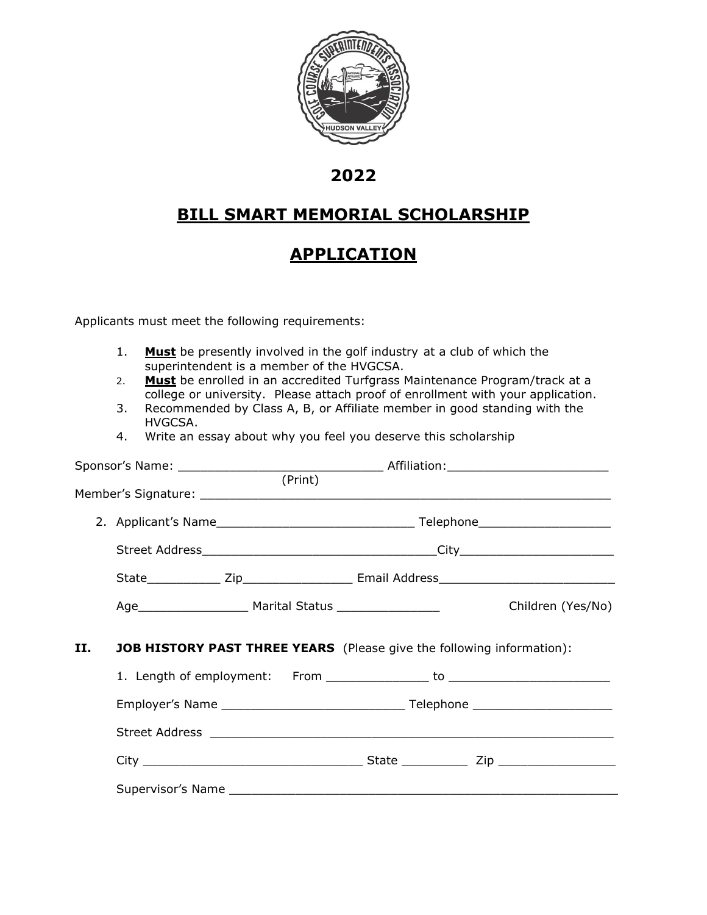

## **2022**

## **BILL SMART MEMORIAL SCHOLARSHIP**

## **APPLICATION**

Applicants must meet the following requirements:

- 1. **Must** be presently involved in the golf industry at a club of which the superintendent is a member of the HVGCSA.
- 2. **Must** be enrolled in an accredited Turfgrass Maintenance Program/track at a college or university. Please attach proof of enrollment with your application.
- 3. Recommended by Class A, B, or Affiliate member in good standing with the HVGCSA.
- 4. Write an essay about why you feel you deserve this scholarship

|    |                                                                                                                                                                                                                               | (Frint) |  |                   |  |  |
|----|-------------------------------------------------------------------------------------------------------------------------------------------------------------------------------------------------------------------------------|---------|--|-------------------|--|--|
|    |                                                                                                                                                                                                                               |         |  |                   |  |  |
|    |                                                                                                                                                                                                                               |         |  |                   |  |  |
|    |                                                                                                                                                                                                                               |         |  |                   |  |  |
|    |                                                                                                                                                                                                                               |         |  |                   |  |  |
|    |                                                                                                                                                                                                                               |         |  | Children (Yes/No) |  |  |
| П. | <b>JOB HISTORY PAST THREE YEARS</b> (Please give the following information):                                                                                                                                                  |         |  |                   |  |  |
|    |                                                                                                                                                                                                                               |         |  |                   |  |  |
|    |                                                                                                                                                                                                                               |         |  |                   |  |  |
|    | Street Address entertainment and the contract of the contract of the contract of the contract of the contract of the contract of the contract of the contract of the contract of the contract of the contract of the contract |         |  |                   |  |  |
|    |                                                                                                                                                                                                                               |         |  |                   |  |  |
|    |                                                                                                                                                                                                                               |         |  |                   |  |  |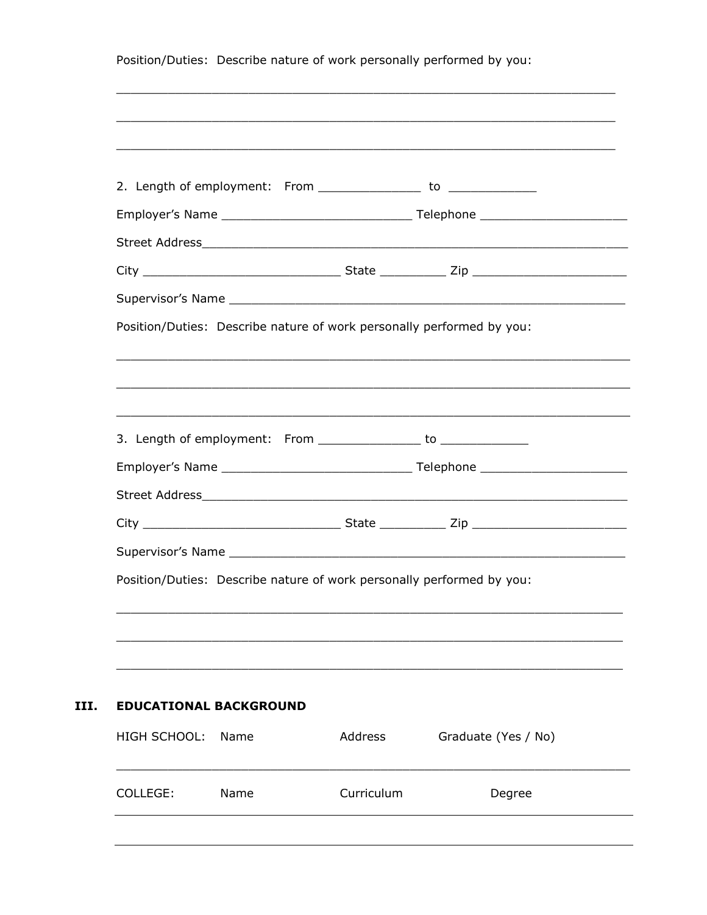| 2. Length of employment: From _________________ to _______________    |         |                     |
|-----------------------------------------------------------------------|---------|---------------------|
|                                                                       |         |                     |
|                                                                       |         |                     |
|                                                                       |         |                     |
|                                                                       |         |                     |
| Position/Duties: Describe nature of work personally performed by you: |         |                     |
|                                                                       |         |                     |
|                                                                       |         |                     |
|                                                                       |         |                     |
| 3. Length of employment: From ________________ to _____________       |         |                     |
|                                                                       |         |                     |
|                                                                       |         |                     |
|                                                                       |         |                     |
|                                                                       |         |                     |
| Position/Duties: Describe nature of work personally performed by you: |         |                     |
|                                                                       |         |                     |
|                                                                       |         |                     |
|                                                                       |         |                     |
|                                                                       |         |                     |
| <b>EDUCATIONAL BACKGROUND</b>                                         |         |                     |
|                                                                       | Address | Graduate (Yes / No) |
| <b>HIGH SCHOOL:</b><br>Name                                           |         |                     |
|                                                                       |         |                     |

III.